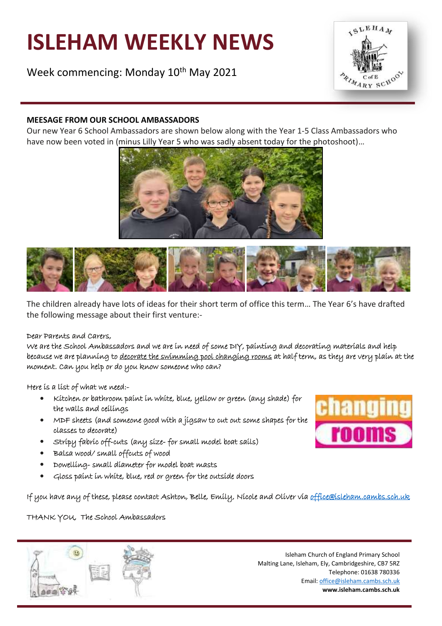# **ISLEHAM WEEKLY NEWS**

Week commencing: Monday 10<sup>th</sup> May 2021



## **MEESAGE FROM OUR SCHOOL AMBASSADORS**

Our new Year 6 School Ambassadors are shown below along with the Year 1-5 Class Ambassadors who have now been voted in (minus Lilly Year 5 who was sadly absent today for the photoshoot)…





The children already have lots of ideas for their short term of office this term… The Year 6's have drafted the following message about their first venture:-

#### Dear Parents and Carers,

We are the School Ambassadors and we are in need of some DIY, painting and decorating materials and help because we are planning to decorate the swimming pool changing rooms at half term, as they are very plain at the moment. Can you help or do you know someone who can?

Here is a list of what we need:-

- Kitchen or bathroom paint in white, blue, yellow or green (any shade) for the walls and ceilings
- MDF sheets (and someone good with a jigsaw to cut out some shapes for the classes to decorate)
- Stripy fabric off-cuts (any size-for small model boat sails)
- Balsa wood/ small offcuts of wood
- Dowelling- small diameter for model boat masts
- Gloss paint in white, blue, red or green for the outside doors

If you have any of these, please contact Ashton, Belle, Emily, Nicole and Oliver via office@isleham.cambs.sch.uk

THANK YOU, The School Ambassadors



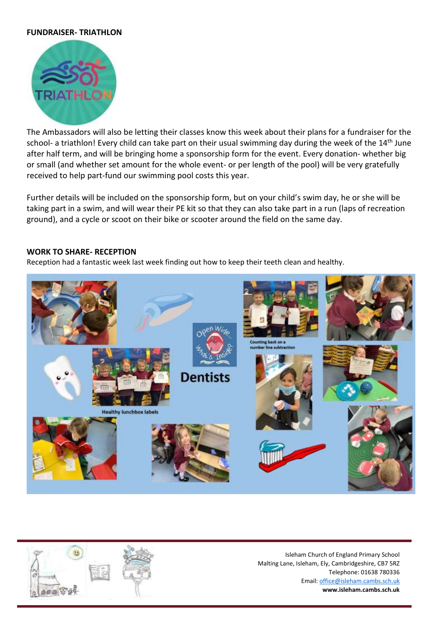#### **FUNDRAISER- TRIATHLON**



The Ambassadors will also be letting their classes know this week about their plans for a fundraiser for the school- a triathlon! Every child can take part on their usual swimming day during the week of the 14<sup>th</sup> June after half term, and will be bringing home a sponsorship form for the event. Every donation- whether big or small (and whether set amount for the whole event- or per length of the pool) will be very gratefully received to help part-fund our swimming pool costs this year.

Further details will be included on the sponsorship form, but on your child's swim day, he or she will be taking part in a swim, and will wear their PE kit so that they can also take part in a run (laps of recreation ground), and a cycle or scoot on their bike or scooter around the field on the same day.

#### **WORK TO SHARE- RECEPTION**

Reception had a fantastic week last week finding out how to keep their teeth clean and healthy.



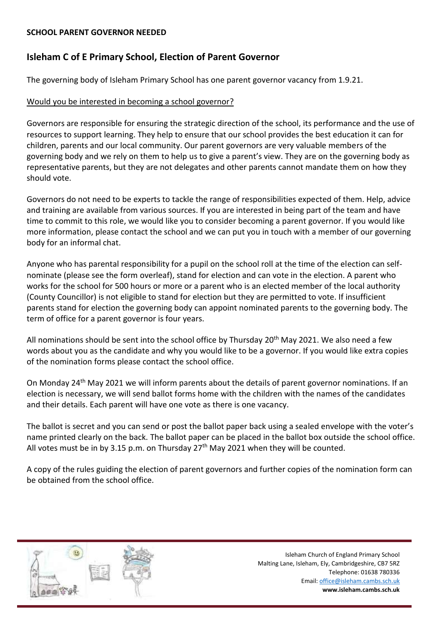#### **SCHOOL PARENT GOVERNOR NEEDED**

# **Isleham C of E Primary School, Election of Parent Governor**

The governing body of Isleham Primary School has one parent governor vacancy from 1.9.21.

# Would you be interested in becoming a school governor?

Governors are responsible for ensuring the strategic direction of the school, its performance and the use of resources to support learning. They help to ensure that our school provides the best education it can for children, parents and our local community. Our parent governors are very valuable members of the governing body and we rely on them to help us to give a parent's view. They are on the governing body as representative parents, but they are not delegates and other parents cannot mandate them on how they should vote.

Governors do not need to be experts to tackle the range of responsibilities expected of them. Help, advice and training are available from various sources. If you are interested in being part of the team and have time to commit to this role, we would like you to consider becoming a parent governor. If you would like more information, please contact the school and we can put you in touch with a member of our governing body for an informal chat.

Anyone who has parental responsibility for a pupil on the school roll at the time of the election can selfnominate (please see the form overleaf), stand for election and can vote in the election. A parent who works for the school for 500 hours or more or a parent who is an elected member of the local authority (County Councillor) is not eligible to stand for election but they are permitted to vote. If insufficient parents stand for election the governing body can appoint nominated parents to the governing body. The term of office for a parent governor is four years.

All nominations should be sent into the school office by Thursday 20<sup>th</sup> May 2021. We also need a few words about you as the candidate and why you would like to be a governor. If you would like extra copies of the nomination forms please contact the school office.

On Monday 24<sup>th</sup> May 2021 we will inform parents about the details of parent governor nominations. If an election is necessary, we will send ballot forms home with the children with the names of the candidates and their details. Each parent will have one vote as there is one vacancy.

The ballot is secret and you can send or post the ballot paper back using a sealed envelope with the voter's name printed clearly on the back. The ballot paper can be placed in the ballot box outside the school office. All votes must be in by 3.15 p.m. on Thursday  $27<sup>th</sup>$  May 2021 when they will be counted.

A copy of the rules guiding the election of parent governors and further copies of the nomination form can be obtained from the school office.

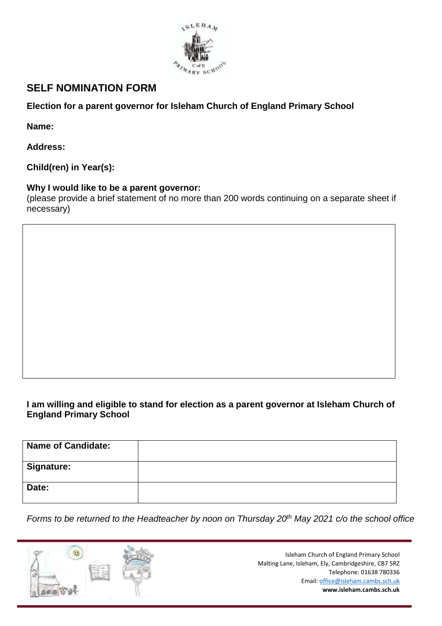

# **SELF NOMINATION FORM**

# **Election for a parent governor for Isleham Church of England Primary School**

**Name:**

**Address:**

**Child(ren) in Year(s):**

# **Why I would like to be a parent governor:**

(please provide a brief statement of no more than 200 words continuing on a separate sheet if necessary)

# **I am willing and eligible to stand for election as a parent governor at Isleham Church of England Primary School**

| <b>Name of Candidate:</b> |  |
|---------------------------|--|
| <b>Signature:</b>         |  |
| Date:                     |  |

*Forms to be returned to the Headteacher by noon on Thursday 20th May 2021 c/o the school office*

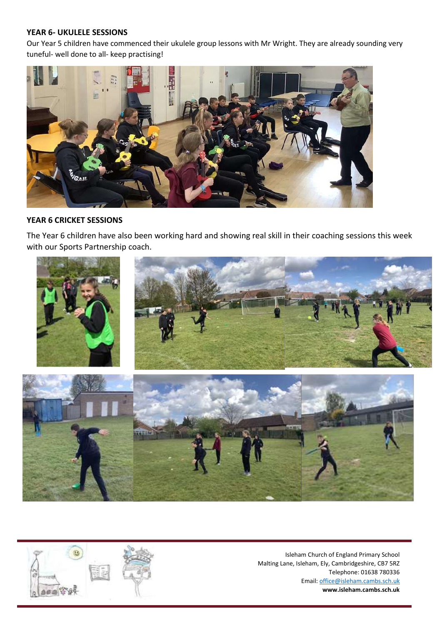#### **YEAR 6- UKULELE SESSIONS**

Our Year 5 children have commenced their ukulele group lessons with Mr Wright. They are already sounding very tuneful- well done to all- keep practising!



## **YEAR 6 CRICKET SESSIONS**

The Year 6 children have also been working hard and showing real skill in their coaching sessions this week with our Sports Partnership coach.



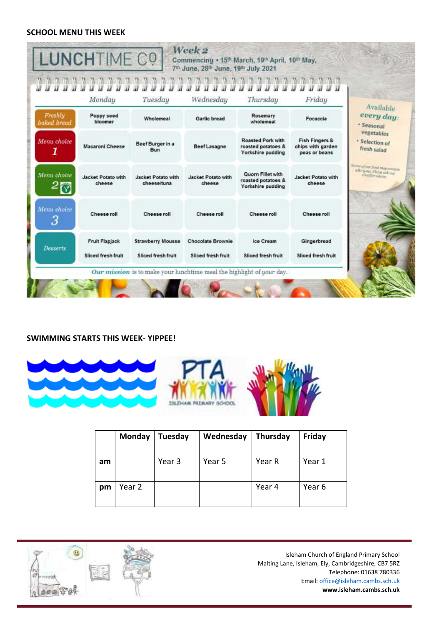## **SCHOOL MENU THIS WEEK**

|                        | Monday                                      | Tuesday                                        | Wednesday                                      | Thursday                                                            | Friday                                                          |                                                          |
|------------------------|---------------------------------------------|------------------------------------------------|------------------------------------------------|---------------------------------------------------------------------|-----------------------------------------------------------------|----------------------------------------------------------|
| Freshhi<br>baked bread | Poppy seed<br>bloomer                       | Wholemeal                                      | Garlic bread                                   | Rosemary<br>wholemeal                                               | Focaccia                                                        | Available<br>every day:<br>- Seasonal                    |
| Menu choice<br>1       | Macaroni Cheese                             | Beef Burger in a<br>Bun                        | <b>Beef Lasagne</b>                            | <b>Roasted Pork with</b><br>roasted potatoes &<br>Yorkshire pudding | <b>Fish Fingers &amp;</b><br>chips with garden<br>peas or beans | vegetables<br>· Selection of<br>fresh salad              |
| Menu choice            | Jacket Potato with<br>cheese                | Jacket Potato with<br>cheese/tuna              | Jacket Potato with<br>cheese                   | <b>Quorn Fillet with</b><br>roasted potatoes &<br>Yorkshire pudding | <b>Jacket Potato with</b><br>cheese                             | larma of our food may certain<br>allergent Please oil me |
| Menu choice<br>З       | Cheese roll                                 | Cheese roll                                    | Cheese roll                                    | Cheese roll                                                         | Cheese roll                                                     |                                                          |
| <b>Desserts</b>        | <b>Fruit Flapjack</b><br>Sliced fresh fruit | <b>Strawberry Mousse</b><br>Sliced fresh fruit | <b>Chocolate Brownie</b><br>Sliced fresh fruit | Ice Cream<br>Sliced fresh fruit                                     | Gingerbread<br>Sliced fresh fruit                               |                                                          |

# **SWIMMING STARTS THIS WEEK- YIPPEE!**



|    | Monday | Tuesday | Wednesday | Thursday | Friday |
|----|--------|---------|-----------|----------|--------|
| am |        | Year 3  | Year 5    | Year R   | Year 1 |
| pm | Year 2 |         |           | Year 4   | Year 6 |